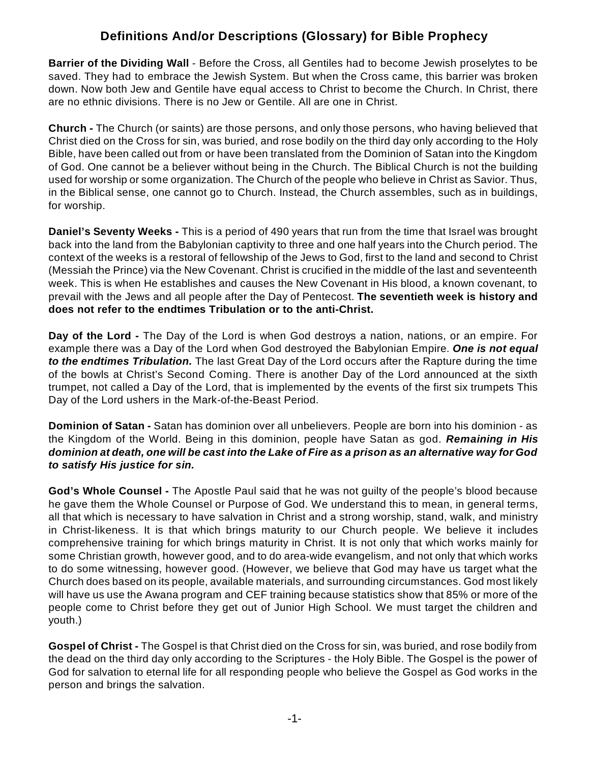## **Definitions And/or Descriptions (Glossary) for Bible Prophecy**

**Barrier of the Dividing Wall** - Before the Cross, all Gentiles had to become Jewish proselytes to be saved. They had to embrace the Jewish System. But when the Cross came, this barrier was broken down. Now both Jew and Gentile have equal access to Christ to become the Church. In Christ, there are no ethnic divisions. There is no Jew or Gentile. All are one in Christ.

**Church -** The Church (or saints) are those persons, and only those persons, who having believed that Christ died on the Cross for sin, was buried, and rose bodily on the third day only according to the Holy Bible, have been called out from or have been translated from the Dominion of Satan into the Kingdom of God. One cannot be a believer without being in the Church. The Biblical Church is not the building used for worship or some organization. The Church of the people who believe in Christ as Savior. Thus, in the Biblical sense, one cannot go to Church. Instead, the Church assembles, such as in buildings, for worship.

**Daniel's Seventy Weeks -** This is a period of 490 years that run from the time that Israel was brought back into the land from the Babylonian captivity to three and one half years into the Church period. The context of the weeks is a restoral of fellowship of the Jews to God, first to the land and second to Christ (Messiah the Prince) via the New Covenant. Christ is crucified in the middle of the last and seventeenth week. This is when He establishes and causes the New Covenant in His blood, a known covenant, to prevail with the Jews and all people after the Day of Pentecost. **The seventieth week is history and does not refer to the endtimes Tribulation or to the anti-Christ.**

**Day of the Lord -** The Day of the Lord is when God destroys a nation, nations, or an empire. For example there was a Day of the Lord when God destroyed the Babylonian Empire. *One is not equal to the endtimes Tribulation.* The last Great Day of the Lord occurs after the Rapture during the time of the bowls at Christ's Second Coming. There is another Day of the Lord announced at the sixth trumpet, not called a Day of the Lord, that is implemented by the events of the first six trumpets This Day of the Lord ushers in the Mark-of-the-Beast Period.

**Dominion of Satan -** Satan has dominion over all unbelievers. People are born into his dominion - as the Kingdom of the World. Being in this dominion, people have Satan as god. *Remaining in His dominion at death, one will be cast into the Lake of Fire as a prison as an alternative way for God to satisfy His justice for sin.*

**God's Whole Counsel -** The Apostle Paul said that he was not guilty of the people's blood because he gave them the Whole Counsel or Purpose of God. We understand this to mean, in general terms, all that which is necessary to have salvation in Christ and a strong worship, stand, walk, and ministry in Christ-likeness. It is that which brings maturity to our Church people. We believe it includes comprehensive training for which brings maturity in Christ. It is not only that which works mainly for some Christian growth, however good, and to do area-wide evangelism, and not only that which works to do some witnessing, however good. (However, we believe that God may have us target what the Church does based on its people, available materials, and surrounding circumstances. God most likely will have us use the Awana program and CEF training because statistics show that 85% or more of the people come to Christ before they get out of Junior High School. We must target the children and youth.)

**Gospel of Christ -** The Gospel is that Christ died on the Cross for sin, was buried, and rose bodily from the dead on the third day only according to the Scriptures - the Holy Bible. The Gospel is the power of God for salvation to eternal life for all responding people who believe the Gospel as God works in the person and brings the salvation.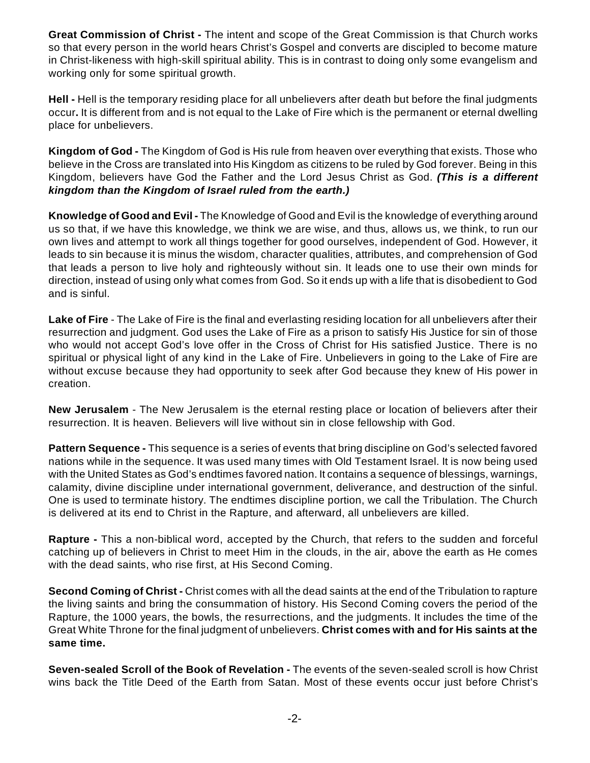**Great Commission of Christ -** The intent and scope of the Great Commission is that Church works so that every person in the world hears Christ's Gospel and converts are discipled to become mature in Christ-likeness with high-skill spiritual ability. This is in contrast to doing only some evangelism and working only for some spiritual growth.

**Hell -** Hell is the temporary residing place for all unbelievers after death but before the final judgments occur**.** It is different from and is not equal to the Lake of Fire which is the permanent or eternal dwelling place for unbelievers.

**Kingdom of God -** The Kingdom of God is His rule from heaven over everything that exists. Those who believe in the Cross are translated into His Kingdom as citizens to be ruled by God forever. Being in this Kingdom, believers have God the Father and the Lord Jesus Christ as God. *(This is a different kingdom than the Kingdom of Israel ruled from the earth.)*

**Knowledge of Good and Evil -** The Knowledge of Good and Evil is the knowledge of everything around us so that, if we have this knowledge, we think we are wise, and thus, allows us, we think, to run our own lives and attempt to work all things together for good ourselves, independent of God. However, it leads to sin because it is minus the wisdom, character qualities, attributes, and comprehension of God that leads a person to live holy and righteously without sin. It leads one to use their own minds for direction, instead of using only what comes from God. So it ends up with a life that is disobedient to God and is sinful.

**Lake of Fire** - The Lake of Fire is the final and everlasting residing location for all unbelievers after their resurrection and judgment. God uses the Lake of Fire as a prison to satisfy His Justice for sin of those who would not accept God's love offer in the Cross of Christ for His satisfied Justice. There is no spiritual or physical light of any kind in the Lake of Fire. Unbelievers in going to the Lake of Fire are without excuse because they had opportunity to seek after God because they knew of His power in creation.

**New Jerusalem** - The New Jerusalem is the eternal resting place or location of believers after their resurrection. It is heaven. Believers will live without sin in close fellowship with God.

**Pattern Sequence -** This sequence is a series of events that bring discipline on God's selected favored nations while in the sequence. It was used many times with Old Testament Israel. It is now being used with the United States as God's endtimes favored nation. It contains a sequence of blessings, warnings, calamity, divine discipline under international government, deliverance, and destruction of the sinful. One is used to terminate history. The endtimes discipline portion, we call the Tribulation. The Church is delivered at its end to Christ in the Rapture, and afterward, all unbelievers are killed.

**Rapture -** This a non-biblical word, accepted by the Church, that refers to the sudden and forceful catching up of believers in Christ to meet Him in the clouds, in the air, above the earth as He comes with the dead saints, who rise first, at His Second Coming.

**Second Coming of Christ -** Christ comes with all the dead saints at the end of the Tribulation to rapture the living saints and bring the consummation of history. His Second Coming covers the period of the Rapture, the 1000 years, the bowls, the resurrections, and the judgments. It includes the time of the Great White Throne for the final judgment of unbelievers. **Christ comes with and for His saints at the same time.**

**Seven-sealed Scroll of the Book of Revelation -** The events of the seven-sealed scroll is how Christ wins back the Title Deed of the Earth from Satan. Most of these events occur just before Christ's